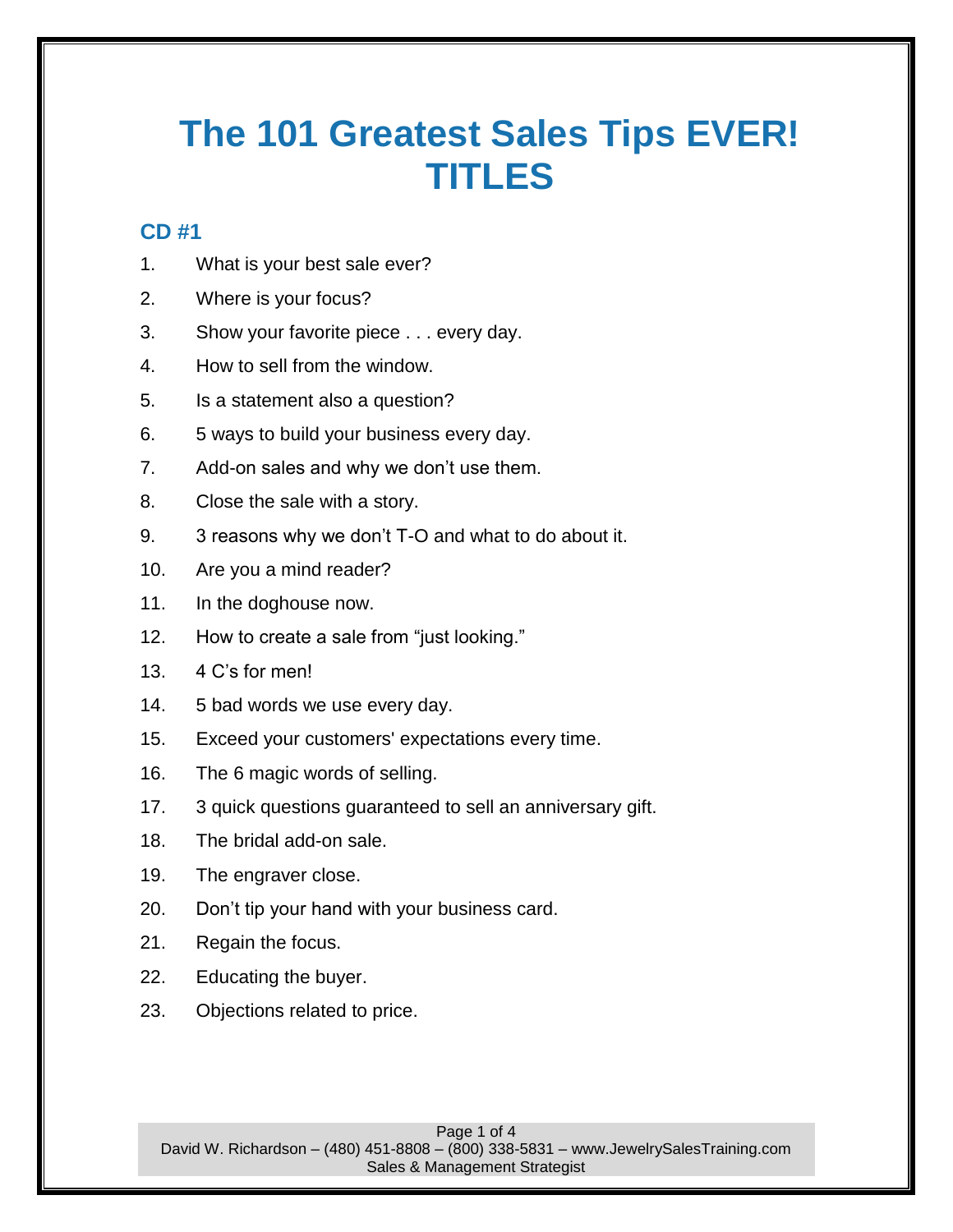# **The 101 Greatest Sales Tips EVER! TITLES**

## **CD #1**

- 1. What is your best sale ever?
- 2. Where is your focus?
- 3. Show your favorite piece . . . every day.
- 4. How to sell from the window.
- 5. Is a statement also a question?
- 6. 5 ways to build your business every day.
- 7. Add-on sales and why we don't use them.
- 8. Close the sale with a story.
- 9. 3 reasons why we don't T-O and what to do about it.
- 10. Are you a mind reader?
- 11. In the doghouse now.
- 12. How to create a sale from "just looking."
- 13. 4 C's for men!
- 14. 5 bad words we use every day.
- 15. Exceed your customers' expectations every time.
- 16. The 6 magic words of selling.
- 17. 3 quick questions guaranteed to sell an anniversary gift.
- 18. The bridal add-on sale.
- 19. The engraver close.
- 20. Don't tip your hand with your business card.
- 21. Regain the focus.
- 22. Educating the buyer.
- 23. Objections related to price.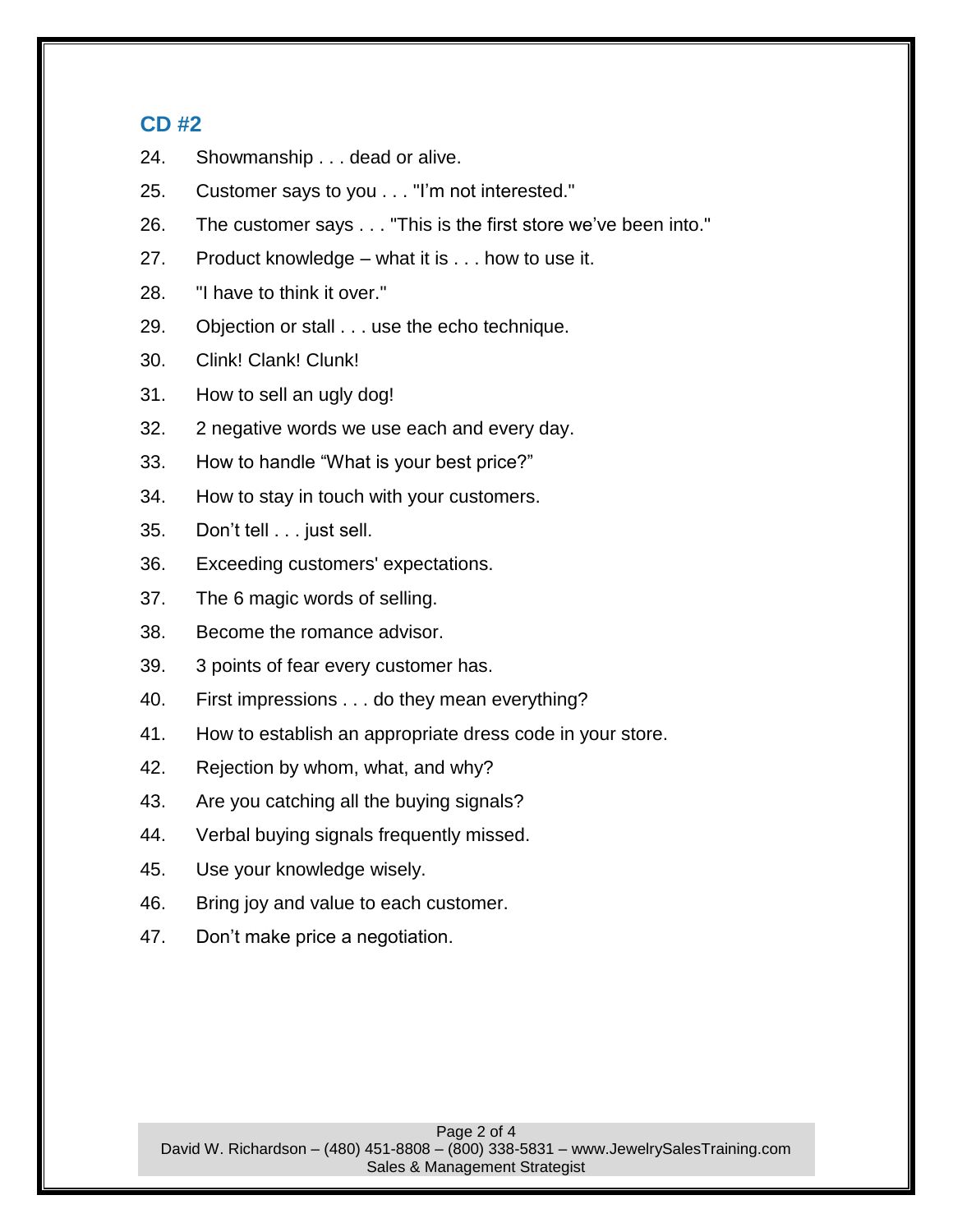#### **CD #2**

- 24. Showmanship . . . dead or alive.
- 25. Customer says to you . . . "I'm not interested."
- 26. The customer says . . . "This is the first store we've been into."
- 27. Product knowledge what it is . . . how to use it.
- 28. "I have to think it over."
- 29. Objection or stall . . . use the echo technique.
- 30. Clink! Clank! Clunk!
- 31. How to sell an ugly dog!
- 32. 2 negative words we use each and every day.
- 33. How to handle "What is your best price?"
- 34. How to stay in touch with your customers.
- 35. Don't tell . . . just sell.
- 36. Exceeding customers' expectations.
- 37. The 6 magic words of selling.
- 38. Become the romance advisor.
- 39. 3 points of fear every customer has.
- 40. First impressions . . . do they mean everything?
- 41. How to establish an appropriate dress code in your store.
- 42. Rejection by whom, what, and why?
- 43. Are you catching all the buying signals?
- 44. Verbal buying signals frequently missed.
- 45. Use your knowledge wisely.
- 46. Bring joy and value to each customer.
- 47. Don't make price a negotiation.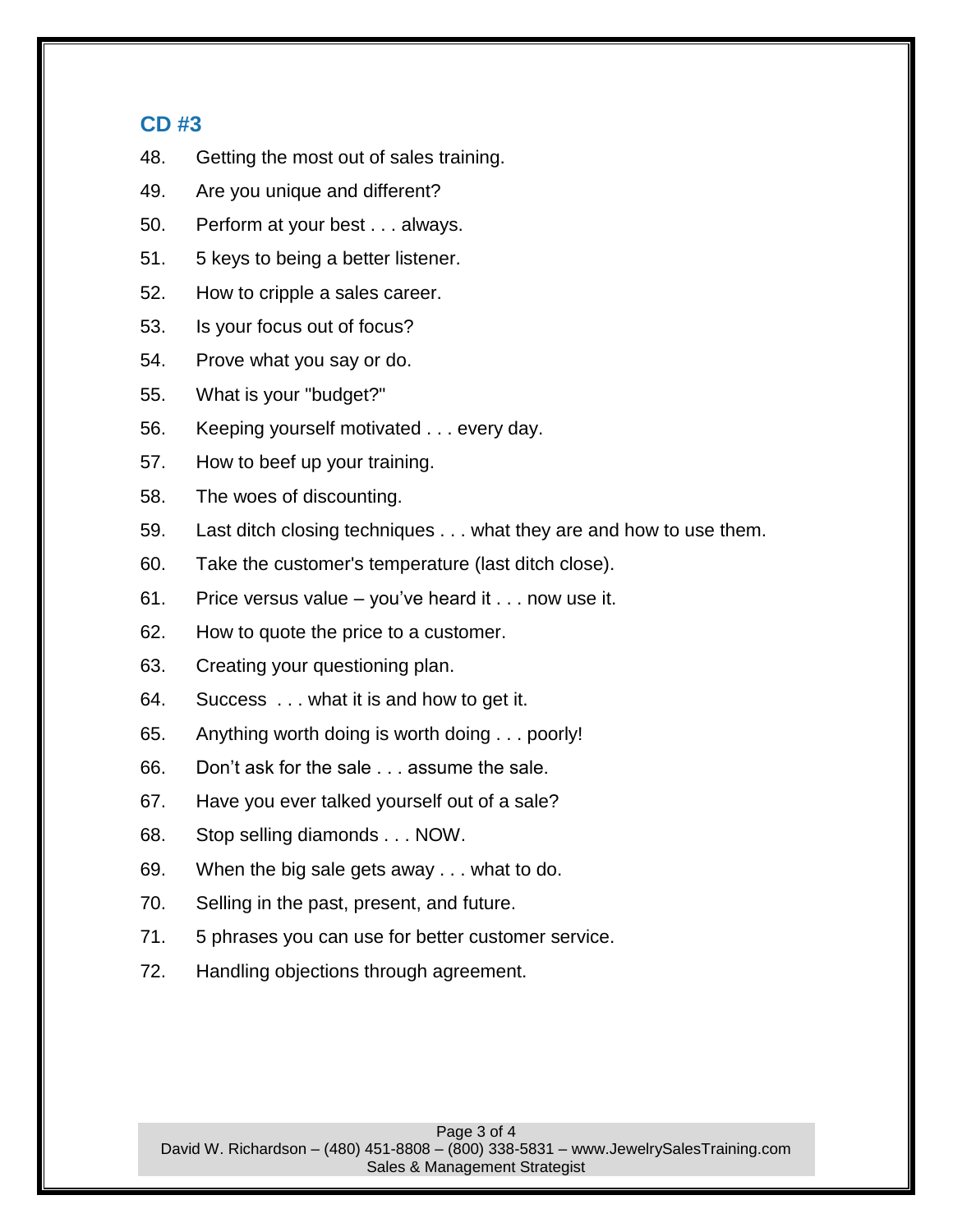### **CD #3**

- 48. Getting the most out of sales training.
- 49. Are you unique and different?
- 50. Perform at your best . . . always.
- 51. 5 keys to being a better listener.
- 52. How to cripple a sales career.
- 53. Is your focus out of focus?
- 54. Prove what you say or do.
- 55. What is your "budget?"
- 56. Keeping yourself motivated . . . every day.
- 57. How to beef up your training.
- 58. The woes of discounting.
- 59. Last ditch closing techniques . . . what they are and how to use them.
- 60. Take the customer's temperature (last ditch close).
- 61. Price versus value you've heard it . . . now use it.
- 62. How to quote the price to a customer.
- 63. Creating your questioning plan.
- 64. Success . . . what it is and how to get it.
- 65. Anything worth doing is worth doing . . . poorly!
- 66. Don't ask for the sale . . . assume the sale.
- 67. Have you ever talked yourself out of a sale?
- 68. Stop selling diamonds . . . NOW.
- 69. When the big sale gets away . . . what to do.
- 70. Selling in the past, present, and future.
- 71. 5 phrases you can use for better customer service.
- 72. Handling objections through agreement.